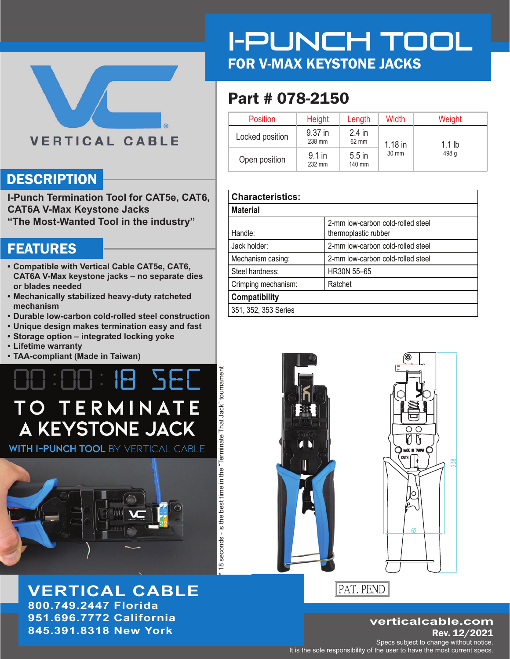#### **VERTICAL CABLE**

#### **DESCRIPTION**

**I-Punch Termination Tool for CAT5e, CAT6, CAT6A V-Max Keystone Jacks "The Most-Wanted Tool in the industry"**

#### **FEATURES**

- **Compatible with Vertical Cable CAT5e, CAT6, CAT6A V-Max keystone jacks – no separate dies or blades needed**
- **Mechanically stabilized heavy-duty ratcheted mechanism**
- **Durable low-carbon cold-rolled steel construction**
- **Unique design makes termination easy and fast**
- **Storage option integrated locking yoke**
- **Lifetime warranty**
- **TAA-compliant (Made in Taiwan)**

### **SE** IH. TO TERMINATE A KEYSTONE JACK

**WITH I-PUNCH TOOL BY VERTICAL CABLE** 



**VERTICAL CABLE 800.749.2447 Florida 951.696.7772 California 845.391.8318 New York Rev. 12/2021** 

I-PUNCH TOOL FOR V-MAX KEYSTONE JACKS

## Part # 078-2150

| Position        | <b>Height</b>      | Length             | Width                 | Weight |
|-----------------|--------------------|--------------------|-----------------------|--------|
| Locked position | 9.37 in<br>238 mm  | $2.4$ in<br>62 mm  | $1.18$ in<br>$1.1$ lb |        |
| Open position   | $9.1$ in<br>232 mm | $5.5$ in<br>140 mm | 30 mm                 | 498 g  |

| <b>Characteristics:</b> |                                                           |
|-------------------------|-----------------------------------------------------------|
| <b>Material</b>         |                                                           |
| Handle:                 | 2-mm low-carbon cold-rolled steel<br>thermoplastic rubber |
| Jack holder:            | 2-mm low-carbon cold-rolled steel                         |
| Mechanism casing:       | 2-mm low-carbon cold-rolled steel                         |
| Steel hardness:         | HR30N 55-65                                               |
| Crimping mechanism:     | Ratchet                                                   |
| Compatibility           |                                                           |
| 351, 352, 353 Series    |                                                           |



\* 18 seconds - is the best time in the "Terminate That Jack" tournament

18 seconds - is the best time in the "Terminate That Jack" tournament

PAT. PEND

## **verticalcable.com**

 $62$ 

**138** 

Specs subject to change without notice. It is the sole responsibility of the user to have the most current specs.